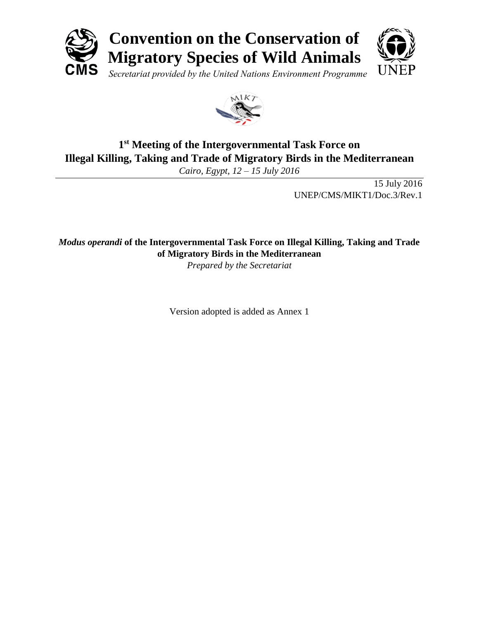



# **1 st Meeting of the Intergovernmental Task Force on Illegal Killing, Taking and Trade of Migratory Birds in the Mediterranean**

*Cairo, Egypt, 12 – 15 July 2016*

15 July 2016 UNEP/CMS/MIKT1/Doc.3/Rev.1

*Modus operandi* **of the Intergovernmental Task Force on Illegal Killing, Taking and Trade of Migratory Birds in the Mediterranean**

*Prepared by the Secretariat*

Version adopted is added as Annex 1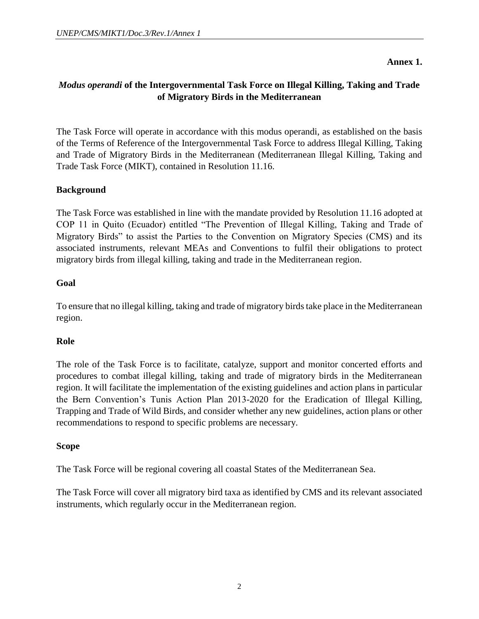**Annex 1.**

# *Modus operandi* **of the Intergovernmental Task Force on Illegal Killing, Taking and Trade of Migratory Birds in the Mediterranean**

The Task Force will operate in accordance with this modus operandi, as established on the basis of the Terms of Reference of the Intergovernmental Task Force to address Illegal Killing, Taking and Trade of Migratory Birds in the Mediterranean (Mediterranean Illegal Killing, Taking and Trade Task Force (MIKT), contained in Resolution 11.16.

#### **Background**

The Task Force was established in line with the mandate provided by Resolution 11.16 adopted at COP 11 in Quito (Ecuador) entitled "The Prevention of Illegal Killing, Taking and Trade of Migratory Birds" to assist the Parties to the Convention on Migratory Species (CMS) and its associated instruments, relevant MEAs and Conventions to fulfil their obligations to protect migratory birds from illegal killing, taking and trade in the Mediterranean region.

#### **Goal**

To ensure that no illegal killing, taking and trade of migratory birds take place in the Mediterranean region.

#### **Role**

The role of the Task Force is to facilitate, catalyze, support and monitor concerted efforts and procedures to combat illegal killing, taking and trade of migratory birds in the Mediterranean region. It will facilitate the implementation of the existing guidelines and action plans in particular the Bern Convention's Tunis Action Plan 2013-2020 for the Eradication of Illegal Killing, Trapping and Trade of Wild Birds, and consider whether any new guidelines, action plans or other recommendations to respond to specific problems are necessary.

#### **Scope**

The Task Force will be regional covering all coastal States of the Mediterranean Sea.

The Task Force will cover all migratory bird taxa as identified by CMS and its relevant associated instruments, which regularly occur in the Mediterranean region.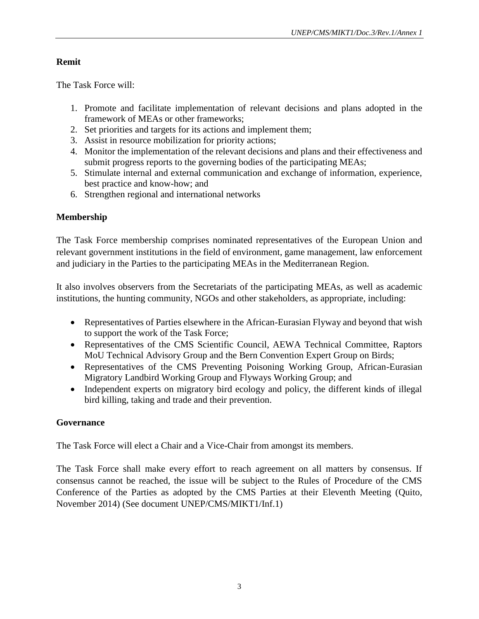#### **Remit**

The Task Force will:

- 1. Promote and facilitate implementation of relevant decisions and plans adopted in the framework of MEAs or other frameworks;
- 2. Set priorities and targets for its actions and implement them;
- 3. Assist in resource mobilization for priority actions;
- 4. Monitor the implementation of the relevant decisions and plans and their effectiveness and submit progress reports to the governing bodies of the participating MEAs;
- 5. Stimulate internal and external communication and exchange of information, experience, best practice and know-how; and
- 6. Strengthen regional and international networks

# **Membership**

The Task Force membership comprises nominated representatives of the European Union and relevant government institutions in the field of environment, game management, law enforcement and judiciary in the Parties to the participating MEAs in the Mediterranean Region.

It also involves observers from the Secretariats of the participating MEAs, as well as academic institutions, the hunting community, NGOs and other stakeholders, as appropriate, including:

- Representatives of Parties elsewhere in the African-Eurasian Flyway and beyond that wish to support the work of the Task Force;
- Representatives of the CMS Scientific Council, AEWA Technical Committee, Raptors MoU Technical Advisory Group and the Bern Convention Expert Group on Birds;
- Representatives of the CMS Preventing Poisoning Working Group, African-Eurasian Migratory Landbird Working Group and Flyways Working Group; and
- Independent experts on migratory bird ecology and policy, the different kinds of illegal bird killing, taking and trade and their prevention.

# **Governance**

The Task Force will elect a Chair and a Vice-Chair from amongst its members.

The Task Force shall make every effort to reach agreement on all matters by consensus. If consensus cannot be reached, the issue will be subject to the Rules of Procedure of the CMS Conference of the Parties as adopted by the CMS Parties at their Eleventh Meeting (Quito, November 2014) (See document UNEP/CMS/MIKT1/Inf.1)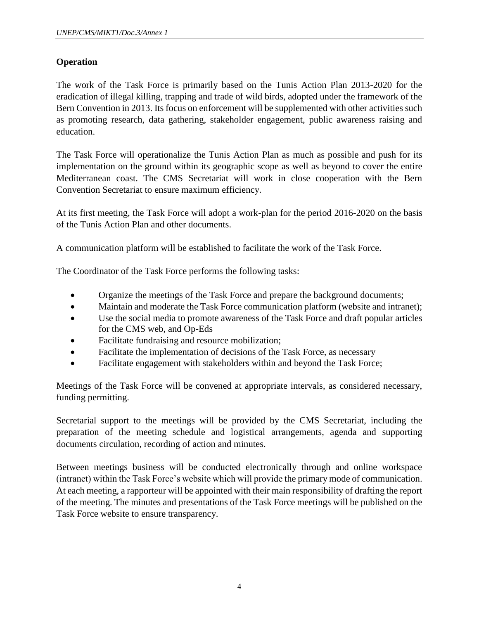# **Operation**

The work of the Task Force is primarily based on the Tunis Action Plan 2013-2020 for the eradication of illegal killing, trapping and trade of wild birds, adopted under the framework of the Bern Convention in 2013. Its focus on enforcement will be supplemented with other activities such as promoting research, data gathering, stakeholder engagement, public awareness raising and education.

The Task Force will operationalize the Tunis Action Plan as much as possible and push for its implementation on the ground within its geographic scope as well as beyond to cover the entire Mediterranean coast. The CMS Secretariat will work in close cooperation with the Bern Convention Secretariat to ensure maximum efficiency.

At its first meeting, the Task Force will adopt a work-plan for the period 2016-2020 on the basis of the Tunis Action Plan and other documents.

A communication platform will be established to facilitate the work of the Task Force.

The Coordinator of the Task Force performs the following tasks:

- Organize the meetings of the Task Force and prepare the background documents;
- Maintain and moderate the Task Force communication platform (website and intranet);
- Use the social media to promote awareness of the Task Force and draft popular articles for the CMS web, and Op-Eds
- Facilitate fundraising and resource mobilization;
- Facilitate the implementation of decisions of the Task Force, as necessary
- Facilitate engagement with stakeholders within and beyond the Task Force;

Meetings of the Task Force will be convened at appropriate intervals, as considered necessary, funding permitting.

Secretarial support to the meetings will be provided by the CMS Secretariat, including the preparation of the meeting schedule and logistical arrangements, agenda and supporting documents circulation, recording of action and minutes.

Between meetings business will be conducted electronically through and online workspace (intranet) within the Task Force's website which will provide the primary mode of communication. At each meeting, a rapporteur will be appointed with their main responsibility of drafting the report of the meeting. The minutes and presentations of the Task Force meetings will be published on the Task Force website to ensure transparency.